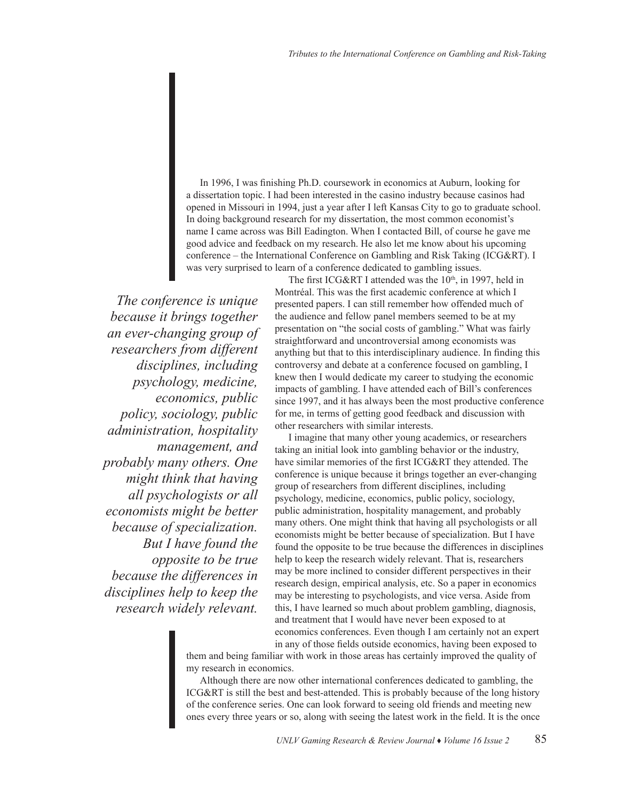In 1996, I was finishing Ph.D. coursework in economics at Auburn, looking for a dissertation topic. I had been interested in the casino industry because casinos had opened in Missouri in 1994, just a year after I left Kansas City to go to graduate school. In doing background research for my dissertation, the most common economist's name I came across was Bill Eadington. When I contacted Bill, of course he gave me good advice and feedback on my research. He also let me know about his upcoming conference – the International Conference on Gambling and Risk Taking (ICG&RT). I was very surprised to learn of a conference dedicated to gambling issues.

*The conference is unique because it brings together an ever-changing group of researchers from different disciplines, including psychology, medicine, economics, public policy, sociology, public administration, hospitality management, and probably many others. One might think that having all psychologists or all economists might be better because of specialization. But I have found the opposite to be true because the differences in disciplines help to keep the research widely relevant.* 

The first ICG&RT I attended was the  $10<sup>th</sup>$ , in 1997, held in Montréal. This was the first academic conference at which I presented papers. I can still remember how offended much of the audience and fellow panel members seemed to be at my presentation on "the social costs of gambling." What was fairly straightforward and uncontroversial among economists was anything but that to this interdisciplinary audience. In finding this controversy and debate at a conference focused on gambling, I knew then I would dedicate my career to studying the economic impacts of gambling. I have attended each of Bill's conferences since 1997, and it has always been the most productive conference for me, in terms of getting good feedback and discussion with other researchers with similar interests.

I imagine that many other young academics, or researchers taking an initial look into gambling behavior or the industry, have similar memories of the first ICG&RT they attended. The conference is unique because it brings together an ever-changing group of researchers from different disciplines, including psychology, medicine, economics, public policy, sociology, public administration, hospitality management, and probably many others. One might think that having all psychologists or all economists might be better because of specialization. But I have found the opposite to be true because the differences in disciplines help to keep the research widely relevant. That is, researchers may be more inclined to consider different perspectives in their research design, empirical analysis, etc. So a paper in economics may be interesting to psychologists, and vice versa. Aside from this, I have learned so much about problem gambling, diagnosis, and treatment that I would have never been exposed to at economics conferences. Even though I am certainly not an expert in any of those fields outside economics, having been exposed to

them and being familiar with work in those areas has certainly improved the quality of my research in economics.

Although there are now other international conferences dedicated to gambling, the ICG&RT is still the best and best-attended. This is probably because of the long history of the conference series. One can look forward to seeing old friends and meeting new ones every three years or so, along with seeing the latest work in the field. It is the once